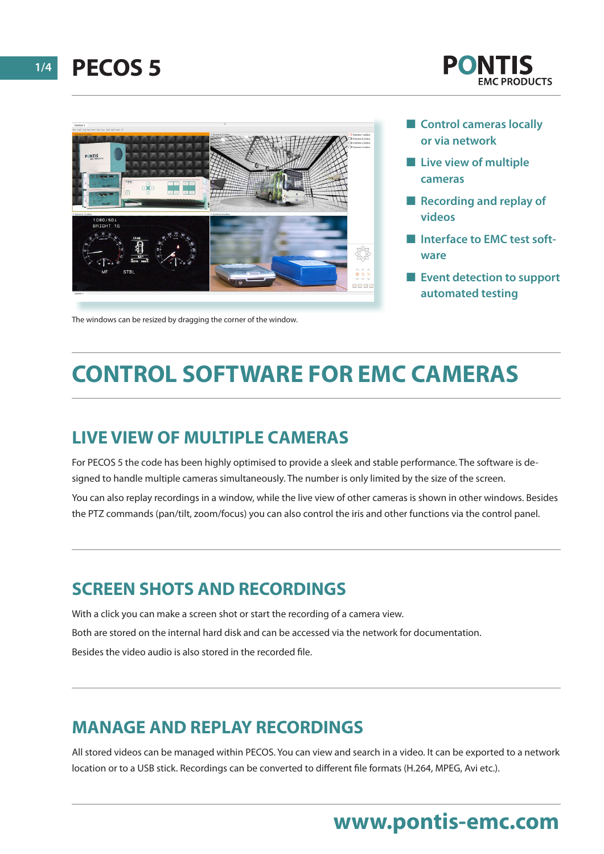**1/4 PECOS 5**





The windows can be resized by dragging the corner of the window.

- **n** Control cameras locally **or via network**
- **n** Live view of multiple **cameras**
- **Recording and replay of videos**
- **n** Interface to EMC test soft**ware**
- **Exent detection to support automated testing**

# **CONTROL SOFTWARE FOR EMC CAMERAS**

#### **LIVE VIEW OF MULTIPLE CAMERAS**

For PECOS 5 the code has been highly optimised to provide a sleek and stable performance. The software is designed to handle multiple cameras simultaneously. The number is only limited by the size of the screen. You can also replay recordings in a window, while the live view of other cameras is shown in other windows. Besides

the PTZ commands (pan/tilt, zoom/focus) you can also control the iris and other functions via the control panel.

#### **SCREEN SHOTS AND RECORDINGS**

With a click you can make a screen shot or start the recording of a camera view. Both are stored on the internal hard disk and can be accessed via the network for documentation. Besides the video audio is also stored in the recorded file.

#### **MANAGE AND REPLAY RECORDINGS**

All stored videos can be managed within PECOS. You can view and search in a video. It can be exported to a network location or to a USB stick. Recordings can be converted to different file formats (H.264, MPEG, Avi etc.).

### **www.pontis-emc.com**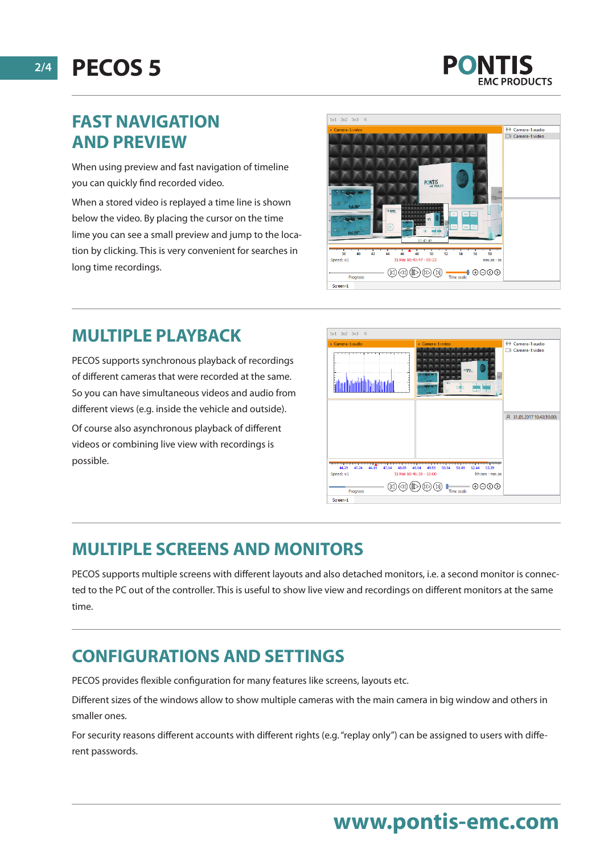**2/4 PECOS 5**

### **FAST NAVIGATION AND PREVIEW**

When using preview and fast navigation of timeline you can quickly find recorded video.

When a stored video is replayed a time line is shown below the video. By placing the cursor on the time lime you can see a small preview and jump to the location by clicking. This is very convenient for searches in long time recordings.



### **MULTIPLE PLAYBACK**

PECOS supports synchronous playback of recordings of different cameras that were recorded at the same. So you can have simultaneous videos and audio from different views (e.g. inside the vehicle and outside).

Of course also asynchronous playback of different videos or combining live view with recordings is possible.



### **MULTIPLE SCREENS AND MONITORS**

PECOS supports multiple screens with different layouts and also detached monitors, i.e. a second monitor is connected to the PC out of the controller. This is useful to show live view and recordings on different monitors at the same time.

### **CONFIGURATIONS AND SETTINGS**

PECOS provides flexible configuration for many features like screens, layouts etc.

Different sizes of the windows allow to show multiple cameras with the main camera in big window and others in smaller ones.

For security reasons different accounts with different rights (e.g. "replay only") can be assigned to users with different passwords.

# **www.pontis-emc.com**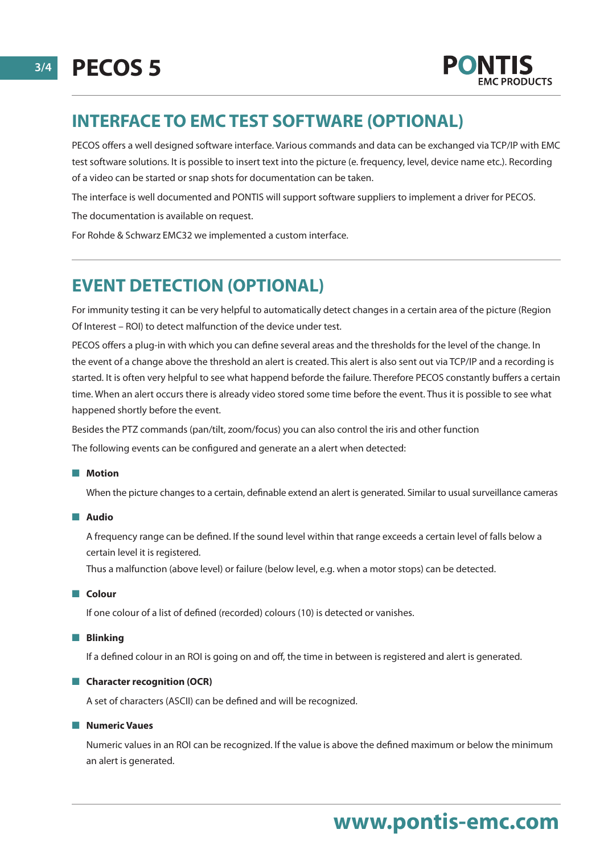

#### **INTERFACE TO EMC TEST SOFTWARE (OPTIONAL)**

PECOS offers a well designed software interface. Various commands and data can be exchanged via TCP/IP with EMC test software solutions. It is possible to insert text into the picture (e. frequency, level, device name etc.). Recording of a video can be started or snap shots for documentation can be taken.

The interface is well documented and PONTIS will support software suppliers to implement a driver for PECOS.

The documentation is available on request.

For Rohde & Schwarz EMC32 we implemented a custom interface.

#### **EVENT DETECTION (OPTIONAL)**

For immunity testing it can be very helpful to automatically detect changes in a certain area of the picture (Region Of Interest – ROI) to detect malfunction of the device under test.

PECOS offers a plug-in with which you can define several areas and the thresholds for the level of the change. In the event of a change above the threshold an alert is created. This alert is also sent out via TCP/IP and a recording is started. It is often very helpful to see what happend beforde the failure. Therefore PECOS constantly buffers a certain time. When an alert occurs there is already video stored some time before the event. Thus it is possible to see what happened shortly before the event.

Besides the PTZ commands (pan/tilt, zoom/focus) you can also control the iris and other function

The following events can be configured and generate an a alert when detected:

#### **n** Motion

When the picture changes to a certain, definable extend an alert is generated. Similar to usual surveillance cameras

#### n **Audio**

A frequency range can be defined. If the sound level within that range exceeds a certain level of falls below a certain level it is registered.

Thus a malfunction (above level) or failure (below level, e.g. when a motor stops) can be detected.

#### n **Colour**

If one colour of a list of defined (recorded) colours (10) is detected or vanishes.

#### **n** Blinking

If a defined colour in an ROI is going on and off, the time in between is registered and alert is generated.

#### **n** Character recognition (OCR)

A set of characters (ASCII) can be defined and will be recognized.

#### **n** Numeric Vaues

Numeric values in an ROI can be recognized. If the value is above the defined maximum or below the minimum an alert is generated.

# **www.pontis-emc.com**